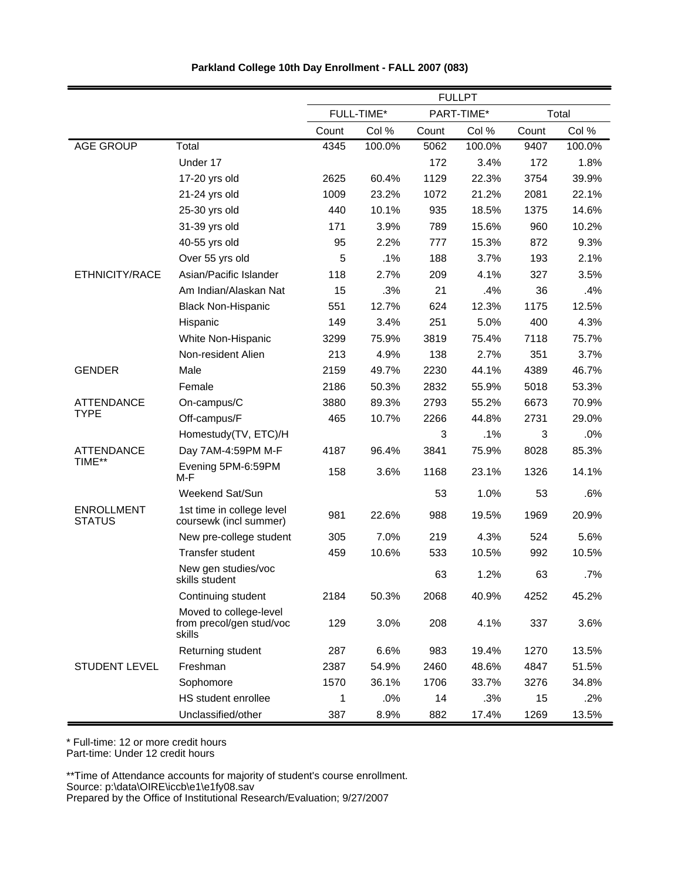|                                    |                                                              |       |            |       | <b>FULLPT</b> |             |        |
|------------------------------------|--------------------------------------------------------------|-------|------------|-------|---------------|-------------|--------|
|                                    |                                                              |       | FULL-TIME* |       | PART-TIME*    |             | Total  |
|                                    |                                                              | Count | Col %      | Count | Col %         | Count       | Col %  |
| <b>AGE GROUP</b>                   | Total                                                        | 4345  | 100.0%     | 5062  | 100.0%        | 9407        | 100.0% |
|                                    | Under 17                                                     |       |            | 172   | 3.4%          | 172         | 1.8%   |
|                                    | 17-20 yrs old                                                | 2625  | 60.4%      | 1129  | 22.3%         | 3754        | 39.9%  |
|                                    | 21-24 yrs old                                                | 1009  | 23.2%      | 1072  | 21.2%         | 2081        | 22.1%  |
|                                    | 25-30 yrs old                                                | 440   | 10.1%      | 935   | 18.5%         | 1375        | 14.6%  |
|                                    | 31-39 yrs old                                                | 171   | 3.9%       | 789   | 15.6%         | 960         | 10.2%  |
|                                    | 40-55 yrs old                                                | 95    | 2.2%       | 777   | 15.3%         | 872         | 9.3%   |
|                                    | Over 55 yrs old                                              | 5     | .1%        | 188   | 3.7%          | 193         | 2.1%   |
| ETHNICITY/RACE                     | Asian/Pacific Islander                                       | 118   | 2.7%       | 209   | 4.1%          | 327         | 3.5%   |
|                                    | Am Indian/Alaskan Nat                                        | 15    | .3%        | 21    | .4%           | 36          | .4%    |
|                                    | <b>Black Non-Hispanic</b>                                    | 551   | 12.7%      | 624   | 12.3%         | 1175        | 12.5%  |
|                                    | Hispanic                                                     | 149   | 3.4%       | 251   | 5.0%          | 400         | 4.3%   |
|                                    | White Non-Hispanic                                           | 3299  | 75.9%      | 3819  | 75.4%         | 7118        | 75.7%  |
|                                    | Non-resident Alien                                           | 213   | 4.9%       | 138   | 2.7%          | 351         | 3.7%   |
| <b>GENDER</b>                      | Male                                                         | 2159  | 49.7%      | 2230  | 44.1%         | 4389        | 46.7%  |
|                                    | Female                                                       | 2186  | 50.3%      | 2832  | 55.9%         | 5018        | 53.3%  |
| <b>ATTENDANCE</b>                  | On-campus/C                                                  | 3880  | 89.3%      | 2793  | 55.2%         | 6673        | 70.9%  |
| <b>TYPE</b>                        | Off-campus/F                                                 | 465   | 10.7%      | 2266  | 44.8%         | 2731        | 29.0%  |
|                                    | Homestudy(TV, ETC)/H                                         |       |            | 3     | .1%           | $\mathsf 3$ | .0%    |
| <b>ATTENDANCE</b>                  | Day 7AM-4:59PM M-F                                           | 4187  | 96.4%      | 3841  | 75.9%         | 8028        | 85.3%  |
| TIME**                             | Evening 5PM-6:59PM<br>M-F                                    | 158   | 3.6%       | 1168  | 23.1%         | 1326        | 14.1%  |
|                                    | Weekend Sat/Sun                                              |       |            | 53    | 1.0%          | 53          | .6%    |
| <b>ENROLLMENT</b><br><b>STATUS</b> | 1st time in college level<br>coursewk (incl summer)          | 981   | 22.6%      | 988   | 19.5%         | 1969        | 20.9%  |
|                                    | New pre-college student                                      | 305   | 7.0%       | 219   | 4.3%          | 524         | 5.6%   |
|                                    | Transfer student                                             | 459   | 10.6%      | 533   | 10.5%         | 992         | 10.5%  |
|                                    | New gen studies/voc<br>skills student                        |       |            | 63    | 1.2%          | 63          | .7%    |
|                                    | Continuing student                                           | 2184  | 50.3%      | 2068  | 40.9%         | 4252        | 45.2%  |
|                                    | Moved to college-level<br>from precol/gen stud/voc<br>skills | 129   | 3.0%       | 208   | 4.1%          | 337         | 3.6%   |
|                                    | Returning student                                            | 287   | 6.6%       | 983   | 19.4%         | 1270        | 13.5%  |
| <b>STUDENT LEVEL</b>               | Freshman                                                     | 2387  | 54.9%      | 2460  | 48.6%         | 4847        | 51.5%  |
|                                    | Sophomore                                                    | 1570  | 36.1%      | 1706  | 33.7%         | 3276        | 34.8%  |
|                                    | HS student enrollee                                          | 1     | .0%        | 14    | .3%           | 15          | .2%    |
|                                    | Unclassified/other                                           | 387   | 8.9%       | 882   | 17.4%         | 1269        | 13.5%  |

**Parkland College 10th Day Enrollment - FALL 2007 (083)**

Part-time: Under 12 credit hours

\*\*Time of Attendance accounts for majority of student's course enrollment.

Source: p:\data\OIRE\iccb\e1\e1fy08.sav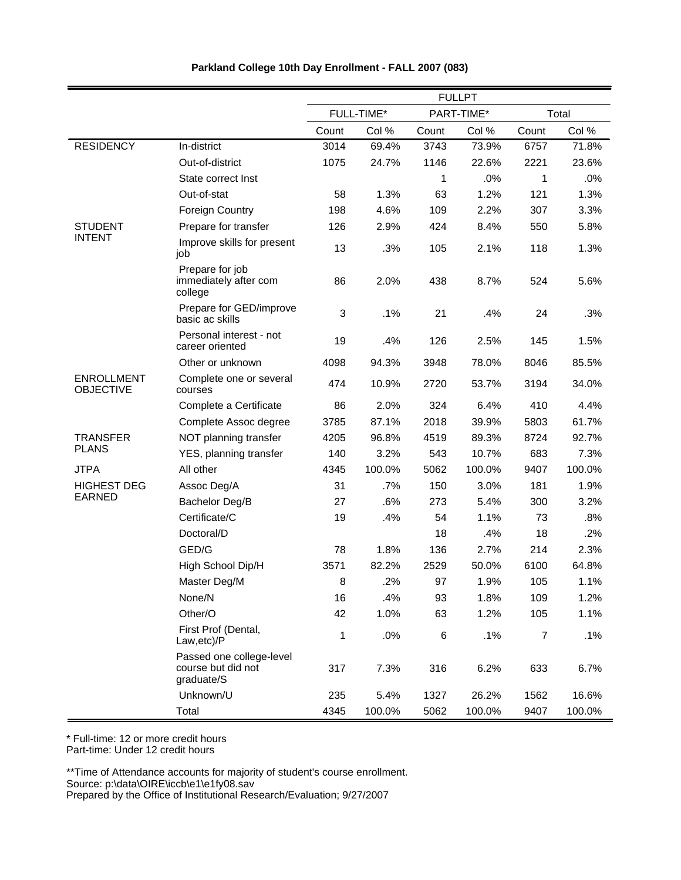|                                       |                                                              |       |            |       | <b>FULLPT</b> |                |        |
|---------------------------------------|--------------------------------------------------------------|-------|------------|-------|---------------|----------------|--------|
|                                       |                                                              |       | FULL-TIME* |       | PART-TIME*    |                | Total  |
|                                       |                                                              | Count | Col %      | Count | Col %         | Count          | Col %  |
| <b>RESIDENCY</b>                      | In-district                                                  | 3014  | 69.4%      | 3743  | 73.9%         | 6757           | 71.8%  |
|                                       | Out-of-district                                              | 1075  | 24.7%      | 1146  | 22.6%         | 2221           | 23.6%  |
|                                       | State correct Inst                                           |       |            | 1     | .0%           | 1              | .0%    |
|                                       | Out-of-stat                                                  | 58    | 1.3%       | 63    | 1.2%          | 121            | 1.3%   |
|                                       | <b>Foreign Country</b>                                       | 198   | 4.6%       | 109   | 2.2%          | 307            | 3.3%   |
| <b>STUDENT</b>                        | Prepare for transfer                                         | 126   | 2.9%       | 424   | 8.4%          | 550            | 5.8%   |
| <b>INTENT</b>                         | Improve skills for present<br>job                            | 13    | .3%        | 105   | 2.1%          | 118            | 1.3%   |
|                                       | Prepare for job<br>immediately after com<br>college          | 86    | 2.0%       | 438   | 8.7%          | 524            | 5.6%   |
|                                       | Prepare for GED/improve<br>basic ac skills                   | 3     | .1%        | 21    | .4%           | 24             | .3%    |
|                                       | Personal interest - not<br>career oriented                   | 19    | .4%        | 126   | 2.5%          | 145            | 1.5%   |
|                                       | Other or unknown                                             | 4098  | 94.3%      | 3948  | 78.0%         | 8046           | 85.5%  |
| <b>ENROLLMENT</b><br><b>OBJECTIVE</b> | Complete one or several<br>courses                           | 474   | 10.9%      | 2720  | 53.7%         | 3194           | 34.0%  |
|                                       | Complete a Certificate                                       | 86    | 2.0%       | 324   | 6.4%          | 410            | 4.4%   |
|                                       | Complete Assoc degree                                        | 3785  | 87.1%      | 2018  | 39.9%         | 5803           | 61.7%  |
| <b>TRANSFER</b>                       | NOT planning transfer                                        | 4205  | 96.8%      | 4519  | 89.3%         | 8724           | 92.7%  |
| <b>PLANS</b>                          | YES, planning transfer                                       | 140   | 3.2%       | 543   | 10.7%         | 683            | 7.3%   |
| <b>JTPA</b>                           | All other                                                    | 4345  | 100.0%     | 5062  | 100.0%        | 9407           | 100.0% |
| <b>HIGHEST DEG</b>                    | Assoc Deg/A                                                  | 31    | .7%        | 150   | 3.0%          | 181            | 1.9%   |
| <b>EARNED</b>                         | Bachelor Deg/B                                               | 27    | .6%        | 273   | 5.4%          | 300            | 3.2%   |
|                                       | Certificate/C                                                | 19    | .4%        | 54    | 1.1%          | 73             | .8%    |
|                                       | Doctoral/D                                                   |       |            | 18    | .4%           | 18             | .2%    |
|                                       | GED/G                                                        | 78    | 1.8%       | 136   | 2.7%          | 214            | 2.3%   |
|                                       | High School Dip/H                                            | 3571  | 82.2%      | 2529  | 50.0%         | 6100           | 64.8%  |
|                                       | Master Deg/M                                                 | 8     | .2%        | 97    | 1.9%          | 105            | 1.1%   |
|                                       | None/N                                                       | 16    | .4%        | 93    | 1.8%          | 109            | 1.2%   |
|                                       | Other/O                                                      | 42    | 1.0%       | 63    | 1.2%          | 105            | 1.1%   |
|                                       | First Prof (Dental,<br>Law, etc)/P                           | 1     | .0%        | $\,6$ | .1%           | $\overline{7}$ | .1%    |
|                                       | Passed one college-level<br>course but did not<br>graduate/S | 317   | 7.3%       | 316   | 6.2%          | 633            | 6.7%   |
|                                       | Unknown/U                                                    | 235   | 5.4%       | 1327  | 26.2%         | 1562           | 16.6%  |
|                                       | Total                                                        | 4345  | 100.0%     | 5062  | 100.0%        | 9407           | 100.0% |

\* Full-time: 12 or more credit hours

Part-time: Under 12 credit hours

\*\*Time of Attendance accounts for majority of student's course enrollment.

Source: p:\data\OIRE\iccb\e1\e1fy08.sav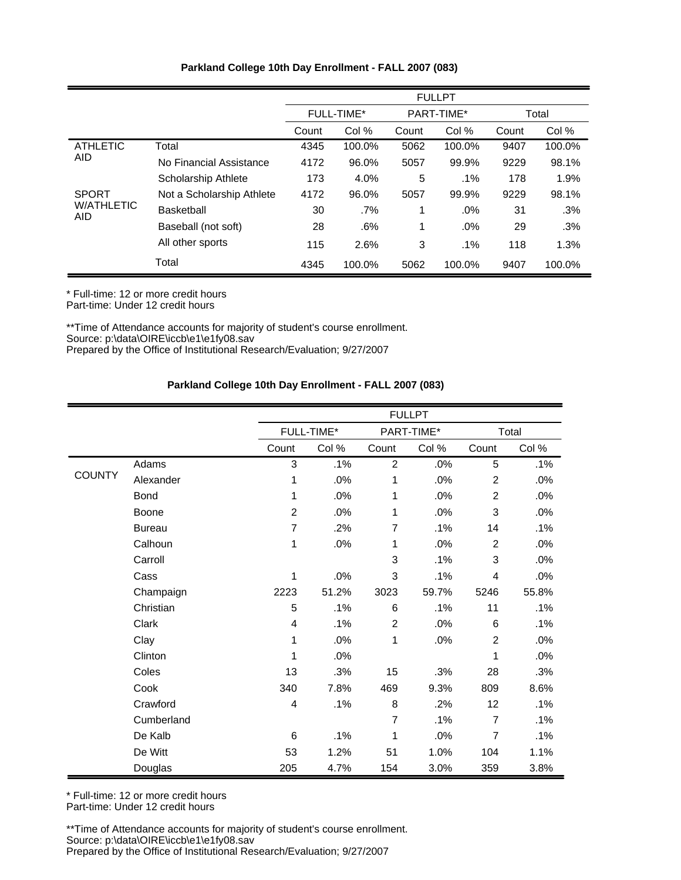| Parkland College 10th Day Enrollment - FALL 2007 (083) |  |
|--------------------------------------------------------|--|
|--------------------------------------------------------|--|

|                                 |                            | <b>FULLPT</b> |            |            |        |       |        |
|---------------------------------|----------------------------|---------------|------------|------------|--------|-------|--------|
|                                 |                            |               | FULL-TIME* | PART-TIME* |        | Total |        |
|                                 |                            | Count         | Col %      | Count      | Col %  | Count | Col %  |
| <b>ATHLETIC</b>                 | Total                      | 4345          | 100.0%     | 5062       | 100.0% | 9407  | 100.0% |
| <b>AID</b>                      | No Financial Assistance    | 4172          | 96.0%      | 5057       | 99.9%  | 9229  | 98.1%  |
|                                 | <b>Scholarship Athlete</b> | 173           | 4.0%       | 5          | .1%    | 178   | 1.9%   |
| <b>SPORT</b>                    | Not a Scholarship Athlete  | 4172          | 96.0%      | 5057       | 99.9%  | 9229  | 98.1%  |
| <b>W/ATHLETIC</b><br><b>AID</b> | Basketball                 | 30            | $.7\%$     | 1          | .0%    | 31    | .3%    |
|                                 | Baseball (not soft)        | 28            | .6%        | 1          | .0%    | 29    | .3%    |
|                                 | All other sports           | 115           | 2.6%       | 3          | .1%    | 118   | 1.3%   |
|                                 | Total                      | 4345          | 100.0%     | 5062       | 100.0% | 9407  | 100.0% |

\* Full-time: 12 or more credit hours Part-time: Under 12 credit hours

\*\*Time of Attendance accounts for majority of student's course enrollment. Source: p:\data\OIRE\iccb\e1\e1fy08.sav Prepared by the Office of Institutional Research/Evaluation; 9/27/2007

#### **Parkland College 10th Day Enrollment - FALL 2007 (083)**

|               |               |                |            |                | <b>FULLPT</b> |                |        |
|---------------|---------------|----------------|------------|----------------|---------------|----------------|--------|
|               |               |                | FULL-TIME* |                | PART-TIME*    |                | Total  |
|               |               | Count          | Col %      | Count          | Col %         | Count          | Col %  |
|               | Adams         | 3              | .1%        | $\overline{2}$ | .0%           | 5              | .1%    |
| <b>COUNTY</b> | Alexander     | 1              | .0%        | 1              | .0%           | $\overline{2}$ | .0%    |
|               | <b>Bond</b>   | 1              | .0%        | 1              | .0%           | $\overline{2}$ | .0%    |
|               | Boone         | $\overline{c}$ | .0%        | 1              | .0%           | 3              | .0%    |
|               | <b>Bureau</b> | $\overline{7}$ | .2%        | $\overline{7}$ | .1%           | 14             | .1%    |
|               | Calhoun       | 1              | .0%        | 1              | .0%           | $\overline{2}$ | .0%    |
|               | Carroll       |                |            | 3              | .1%           | 3              | .0%    |
|               | Cass          | 1              | .0%        | 3              | .1%           | $\overline{4}$ | .0%    |
|               | Champaign     | 2223           | 51.2%      | 3023           | 59.7%         | 5246           | 55.8%  |
|               | Christian     | 5              | .1%        | 6              | .1%           | 11             | .1%    |
|               | Clark         | 4              | .1%        | $\overline{2}$ | .0%           | 6              | .1%    |
|               | Clay          | 1              | .0%        | 1              | .0%           | $\overline{c}$ | .0%    |
|               | Clinton       | 1              | .0%        |                |               | 1              | .0%    |
|               | Coles         | 13             | .3%        | 15             | .3%           | 28             | .3%    |
|               | Cook          | 340            | 7.8%       | 469            | 9.3%          | 809            | 8.6%   |
|               | Crawford      | 4              | .1%        | 8              | .2%           | 12             | $.1\%$ |
|               | Cumberland    |                |            | $\overline{7}$ | .1%           | $\overline{7}$ | .1%    |
|               | De Kalb       | 6              | .1%        | 1              | .0%           | $\overline{7}$ | $.1\%$ |
|               | De Witt       | 53             | 1.2%       | 51             | 1.0%          | 104            | 1.1%   |
|               | Douglas       | 205            | 4.7%       | 154            | 3.0%          | 359            | 3.8%   |

\* Full-time: 12 or more credit hours

Part-time: Under 12 credit hours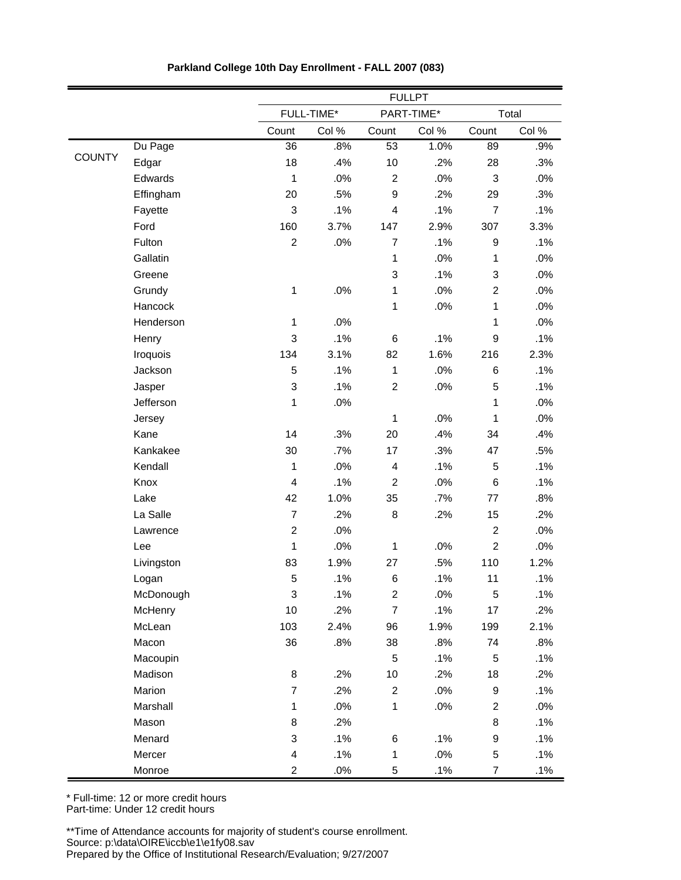|               |            |                         |            |                         | <b>FULLPT</b> |                |        |
|---------------|------------|-------------------------|------------|-------------------------|---------------|----------------|--------|
|               |            |                         | FULL-TIME* |                         | PART-TIME*    |                | Total  |
|               |            | Count                   | Col %      | Count                   | Col %         | Count          | Col %  |
|               | Du Page    | 36                      | .8%        | 53                      | 1.0%          | 89             | .9%    |
| <b>COUNTY</b> | Edgar      | 18                      | .4%        | 10                      | .2%           | 28             | .3%    |
|               | Edwards    | $\mathbf{1}$            | .0%        | $\overline{2}$          | .0%           | 3              | .0%    |
|               | Effingham  | 20                      | .5%        | $\boldsymbol{9}$        | .2%           | 29             | .3%    |
|               | Fayette    | 3                       | .1%        | $\overline{\mathbf{4}}$ | .1%           | $\overline{7}$ | .1%    |
|               | Ford       | 160                     | 3.7%       | 147                     | 2.9%          | 307            | 3.3%   |
|               | Fulton     | $\overline{c}$          | .0%        | $\overline{7}$          | .1%           | 9              | .1%    |
|               | Gallatin   |                         |            | $\mathbf 1$             | .0%           | $\mathbf{1}$   | .0%    |
|               | Greene     |                         |            | $\mathsf 3$             | .1%           | 3              | .0%    |
|               | Grundy     | $\mathbf 1$             | .0%        | $\mathbf 1$             | .0%           | $\overline{c}$ | .0%    |
|               | Hancock    |                         |            | 1                       | .0%           | $\mathbf{1}$   | .0%    |
|               | Henderson  | $\mathbf 1$             | .0%        |                         |               | 1              | .0%    |
|               | Henry      | 3                       | .1%        | 6                       | .1%           | 9              | .1%    |
|               | Iroquois   | 134                     | 3.1%       | 82                      | 1.6%          | 216            | 2.3%   |
|               | Jackson    | 5                       | .1%        | $\mathbf{1}$            | .0%           | 6              | .1%    |
|               | Jasper     | 3                       | .1%        | $\overline{c}$          | .0%           | 5              | .1%    |
|               | Jefferson  | $\mathbf{1}$            | .0%        |                         |               | $\mathbf{1}$   | .0%    |
|               | Jersey     |                         |            | $\mathbf 1$             | .0%           | $\mathbf{1}$   | .0%    |
|               | Kane       | 14                      | .3%        | 20                      | .4%           | 34             | .4%    |
|               | Kankakee   | 30                      | .7%        | 17                      | .3%           | 47             | .5%    |
|               | Kendall    | $\mathbf{1}$            | .0%        | $\overline{\mathbf{4}}$ | .1%           | 5              | .1%    |
|               | Knox       | $\overline{\mathbf{4}}$ | .1%        | $\overline{2}$          | .0%           | 6              | .1%    |
|               | Lake       | 42                      | 1.0%       | 35                      | .7%           | 77             | .8%    |
|               | La Salle   | $\overline{7}$          | .2%        | 8                       | .2%           | 15             | .2%    |
|               | Lawrence   | $\mathbf 2$             | .0%        |                         |               | $\overline{2}$ | .0%    |
|               | Lee        | $\mathbf{1}$            | .0%        | $\mathbf 1$             | .0%           | $\overline{c}$ | $.0\%$ |
|               | Livingston | 83                      | 1.9%       | 27                      | .5%           | 110            | 1.2%   |
|               | Logan      | 5                       | .1%        | 6                       | .1%           | 11             | .1%    |
|               | McDonough  | 3                       | .1%        | $\overline{\mathbf{c}}$ | .0%           | $\mathbf 5$    | .1%    |
|               | McHenry    | 10                      | .2%        | $\boldsymbol{7}$        | .1%           | 17             | .2%    |
|               | McLean     | 103                     | 2.4%       | 96                      | 1.9%          | 199            | 2.1%   |
|               | Macon      | 36                      | .8%        | 38                      | .8%           | 74             | .8%    |
|               | Macoupin   |                         |            | 5                       | .1%           | 5              | .1%    |
|               | Madison    | $\bf8$                  | .2%        | $10$                    | .2%           | 18             | .2%    |
|               | Marion     | $\overline{7}$          | .2%        | $\overline{\mathbf{c}}$ | .0%           | 9              | .1%    |
|               | Marshall   | $\mathbf 1$             | .0%        | $\mathbf 1$             | .0%           | $\overline{c}$ | .0%    |
|               | Mason      | 8                       | .2%        |                         |               | 8              | .1%    |
|               | Menard     | 3                       | .1%        | 6                       | .1%           | 9              | .1%    |
|               | Mercer     | 4                       | .1%        | $\mathbf 1$             | $.0\%$        | $\mathbf 5$    | .1%    |
|               | Monroe     | $\overline{c}$          | $.0\%$     | 5                       | .1%           | $\overline{7}$ | .1%    |

**Parkland College 10th Day Enrollment - FALL 2007 (083)**

Part-time: Under 12 credit hours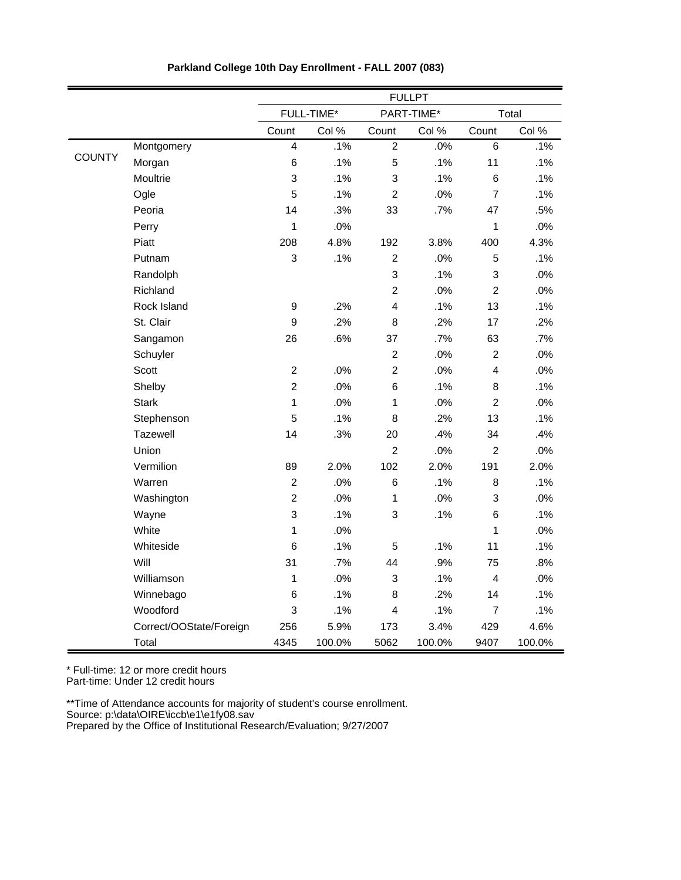|               |                         |                  |            |                         | <b>FULLPT</b> |                  |        |
|---------------|-------------------------|------------------|------------|-------------------------|---------------|------------------|--------|
|               |                         |                  | FULL-TIME* |                         | PART-TIME*    |                  | Total  |
|               |                         | Count            | Col %      | Count                   | Col %         | Count            | Col %  |
|               | Montgomery              | 4                | .1%        | $\overline{2}$          | .0%           | 6                | .1%    |
| <b>COUNTY</b> | Morgan                  | 6                | .1%        | 5                       | .1%           | 11               | .1%    |
|               | Moultrie                | 3                | .1%        | 3                       | .1%           | $\,6$            | .1%    |
|               | Ogle                    | 5                | .1%        | $\overline{c}$          | .0%           | $\overline{7}$   | .1%    |
|               | Peoria                  | 14               | .3%        | 33                      | .7%           | 47               | .5%    |
|               | Perry                   | $\mathbf 1$      | .0%        |                         |               | $\mathbf{1}$     | .0%    |
|               | Piatt                   | 208              | 4.8%       | 192                     | 3.8%          | 400              | 4.3%   |
|               | Putnam                  | 3                | .1%        | $\overline{2}$          | .0%           | $\mathbf 5$      | .1%    |
|               | Randolph                |                  |            | 3                       | .1%           | 3                | .0%    |
|               | Richland                |                  |            | $\overline{c}$          | .0%           | $\boldsymbol{2}$ | .0%    |
|               | Rock Island             | $\boldsymbol{9}$ | .2%        | $\overline{4}$          | .1%           | 13               | .1%    |
|               | St. Clair               | 9                | .2%        | 8                       | .2%           | 17               | .2%    |
|               | Sangamon                | 26               | .6%        | 37                      | .7%           | 63               | .7%    |
|               | Schuyler                |                  |            | $\overline{2}$          | .0%           | $\overline{c}$   | .0%    |
|               | Scott                   | $\overline{c}$   | .0%        | $\overline{2}$          | .0%           | 4                | .0%    |
|               | Shelby                  | $\overline{c}$   | .0%        | 6                       | .1%           | 8                | .1%    |
|               | <b>Stark</b>            | 1                | .0%        | 1                       | .0%           | $\overline{c}$   | .0%    |
|               | Stephenson              | 5                | .1%        | 8                       | .2%           | 13               | .1%    |
|               | Tazewell                | 14               | .3%        | 20                      | .4%           | 34               | .4%    |
|               | Union                   |                  |            | $\overline{c}$          | .0%           | $\overline{2}$   | .0%    |
|               | Vermilion               | 89               | 2.0%       | 102                     | 2.0%          | 191              | 2.0%   |
|               | Warren                  | $\mathbf 2$      | .0%        | $6\phantom{1}6$         | .1%           | 8                | .1%    |
|               | Washington              | $\overline{c}$   | .0%        | $\mathbf{1}$            | .0%           | 3                | .0%    |
|               | Wayne                   | 3                | .1%        | 3                       | .1%           | 6                | .1%    |
|               | White                   | $\mathbf 1$      | .0%        |                         |               | $\mathbf{1}$     | .0%    |
|               | Whiteside               | 6                | .1%        | 5                       | .1%           | 11               | .1%    |
|               | Will                    | 31               | .7%        | 44                      | .9%           | 75               | .8%    |
|               | Williamson              | $\mathbf 1$      | .0%        | 3                       | .1%           | 4                | .0%    |
|               | Winnebago               | 6                | .1%        | 8                       | .2%           | 14               | .1%    |
|               | Woodford                | 3                | .1%        | $\overline{\mathbf{4}}$ | .1%           | $\overline{7}$   | .1%    |
|               | Correct/OOState/Foreign | 256              | 5.9%       | 173                     | 3.4%          | 429              | 4.6%   |
|               | Total                   | 4345             | 100.0%     | 5062                    | 100.0%        | 9407             | 100.0% |

**Parkland College 10th Day Enrollment - FALL 2007 (083)**

Part-time: Under 12 credit hours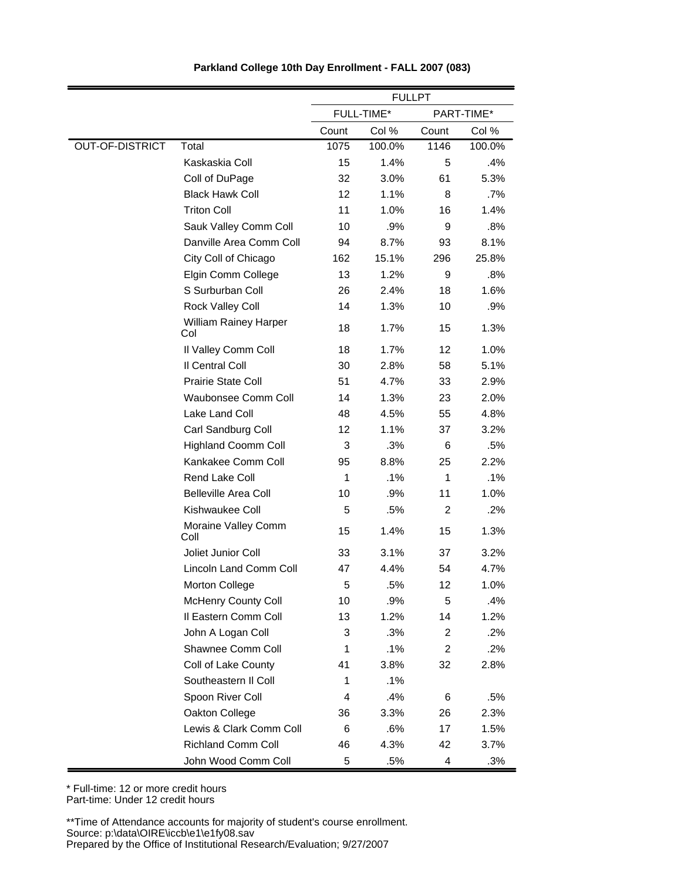|                        |                                     | <b>FULLPT</b> |            |                |            |
|------------------------|-------------------------------------|---------------|------------|----------------|------------|
|                        |                                     |               | FULL-TIME* |                | PART-TIME* |
|                        |                                     | Count         | Col %      | Count          | Col %      |
| <b>OUT-OF-DISTRICT</b> | Total                               | 1075          | 100.0%     | 1146           | 100.0%     |
|                        | Kaskaskia Coll                      | 15            | 1.4%       | 5              | .4%        |
|                        | Coll of DuPage                      | 32            | 3.0%       | 61             | 5.3%       |
|                        | <b>Black Hawk Coll</b>              | 12            | 1.1%       | 8              | .7%        |
|                        | <b>Triton Coll</b>                  | 11            | 1.0%       | 16             | 1.4%       |
|                        | Sauk Valley Comm Coll               | 10            | .9%        | 9              | .8%        |
|                        | Danville Area Comm Coll             | 94            | 8.7%       | 93             | 8.1%       |
|                        | City Coll of Chicago                | 162           | 15.1%      | 296            | 25.8%      |
|                        | Elgin Comm College                  | 13            | 1.2%       | 9              | .8%        |
|                        | S Surburban Coll                    | 26            | 2.4%       | 18             | 1.6%       |
|                        | Rock Valley Coll                    | 14            | 1.3%       | 10             | .9%        |
|                        | <b>William Rainey Harper</b><br>Col | 18            | 1.7%       | 15             | 1.3%       |
|                        | Il Valley Comm Coll                 | 18            | 1.7%       | 12             | 1.0%       |
|                        | Il Central Coll                     | 30            | 2.8%       | 58             | 5.1%       |
|                        | <b>Prairie State Coll</b>           | 51            | 4.7%       | 33             | 2.9%       |
|                        | Waubonsee Comm Coll                 | 14            | 1.3%       | 23             | 2.0%       |
|                        | Lake Land Coll                      | 48            | 4.5%       | 55             | 4.8%       |
|                        | Carl Sandburg Coll                  | 12            | 1.1%       | 37             | 3.2%       |
|                        | <b>Highland Coomm Coll</b>          | 3             | .3%        | 6              | .5%        |
|                        | Kankakee Comm Coll                  | 95            | 8.8%       | 25             | 2.2%       |
|                        | Rend Lake Coll                      | 1             | .1%        | 1              | .1%        |
|                        | <b>Belleville Area Coll</b>         | 10            | .9%        | 11             | 1.0%       |
|                        | Kishwaukee Coll                     | 5             | .5%        | $\overline{2}$ | .2%        |
|                        | Moraine Valley Comm<br>Coll         | 15            | 1.4%       | 15             | 1.3%       |
|                        | Joliet Junior Coll                  | 33            | 3.1%       | 37             | 3.2%       |
|                        | Lincoln Land Comm Coll              | 47            | 4.4%       | 54             | 4.7%       |
|                        | <b>Morton College</b>               | 5             | .5%        | 12             | 1.0%       |
|                        | <b>McHenry County Coll</b>          | 10            | .9%        | 5              | .4%        |
|                        | Il Eastern Comm Coll                | 13            | 1.2%       | 14             | 1.2%       |
|                        | John A Logan Coll                   | 3             | .3%        | 2              | .2%        |
|                        | Shawnee Comm Coll                   | 1             | .1%        | $\overline{c}$ | .2%        |
|                        | Coll of Lake County                 | 41            | 3.8%       | 32             | 2.8%       |
|                        | Southeastern II Coll                | 1             | .1%        |                |            |
|                        | Spoon River Coll                    | 4             | .4%        | 6              | .5%        |
|                        | Oakton College                      | 36            | 3.3%       | 26             | 2.3%       |
|                        | Lewis & Clark Comm Coll             | 6             | .6%        | 17             | 1.5%       |
|                        | <b>Richland Comm Coll</b>           | 46            | 4.3%       | 42             | 3.7%       |
|                        | John Wood Comm Coll                 | 5             | .5%        | 4              | .3%        |

\* Full-time: 12 or more credit hours Part-time: Under 12 credit hours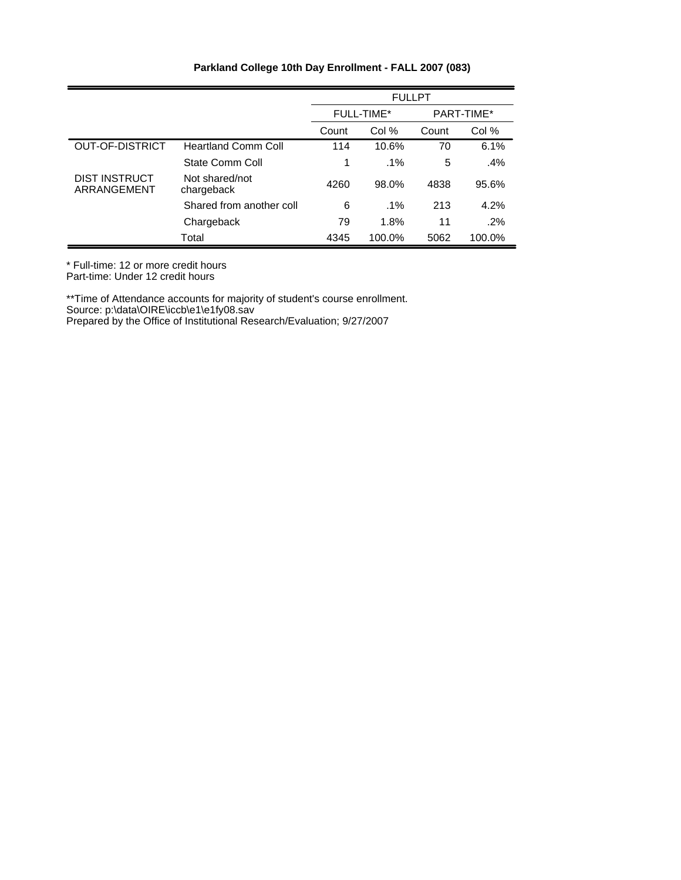|                                     |                              |       | <b>FULLPT</b>                   |       |        |  |
|-------------------------------------|------------------------------|-------|---------------------------------|-------|--------|--|
|                                     |                              |       | PART-TIME*<br><b>FULL-TIME*</b> |       |        |  |
|                                     |                              | Count | Col %                           | Count | Col %  |  |
| <b>OUT-OF-DISTRICT</b>              | <b>Heartland Comm Coll</b>   | 114   | 10.6%                           | 70    | 6.1%   |  |
|                                     | State Comm Coll              | 1     | $.1\%$                          | 5     | $.4\%$ |  |
| <b>DIST INSTRUCT</b><br>ARRANGEMENT | Not shared/not<br>chargeback | 4260  | 98.0%                           | 4838  | 95.6%  |  |
|                                     | Shared from another coll     | 6     | $.1\%$                          | 213   | 4.2%   |  |
|                                     | Chargeback                   | 79    | 1.8%                            | 11    | $.2\%$ |  |
|                                     | Total                        | 4345  | 100.0%                          | 5062  | 100.0% |  |

\* Full-time: 12 or more credit hours

Part-time: Under 12 credit hours

\*\*Time of Attendance accounts for majority of student's course enrollment.

Source: p:\data\OIRE\iccb\e1\e1fy08.sav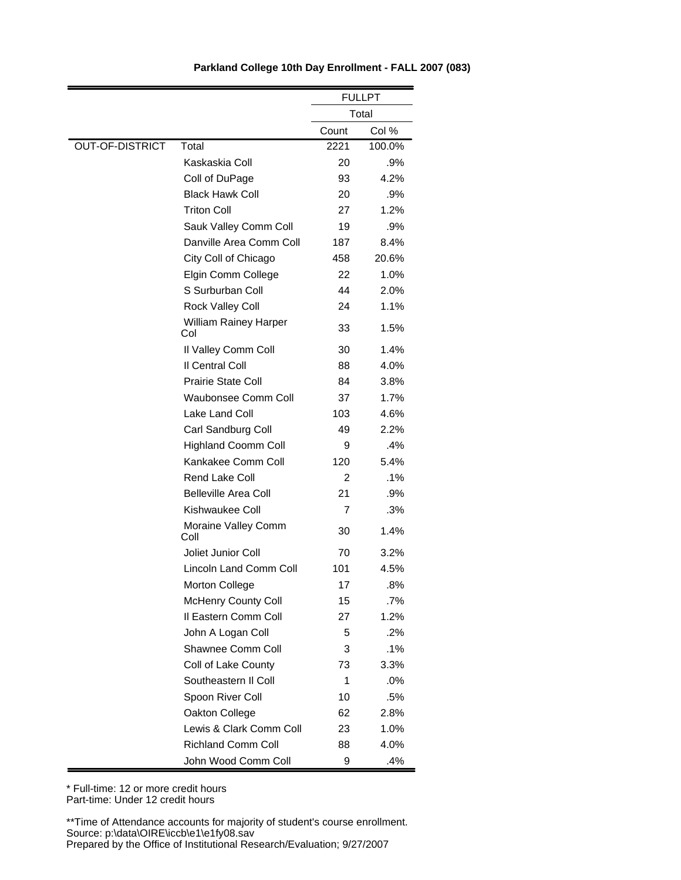|                        |                                     |       | <b>FULLPT</b> |
|------------------------|-------------------------------------|-------|---------------|
|                        |                                     |       | Total         |
|                        |                                     | Count | Col %         |
| <b>OUT-OF-DISTRICT</b> | Total                               | 2221  | 100.0%        |
|                        | Kaskaskia Coll                      | 20    | .9%           |
|                        | Coll of DuPage                      | 93    | 4.2%          |
|                        | <b>Black Hawk Coll</b>              | 20    | .9%           |
|                        | <b>Triton Coll</b>                  | 27    | 1.2%          |
|                        | Sauk Valley Comm Coll               | 19    | .9%           |
|                        | Danville Area Comm Coll             | 187   | 8.4%          |
|                        | City Coll of Chicago                | 458   | 20.6%         |
|                        | Elgin Comm College                  | 22    | 1.0%          |
|                        | S Surburban Coll                    | 44    | 2.0%          |
|                        | Rock Valley Coll                    | 24    | 1.1%          |
|                        | <b>William Rainey Harper</b><br>Col | 33    | 1.5%          |
|                        | Il Valley Comm Coll                 | 30    | 1.4%          |
|                        | Il Central Coll                     | 88    | 4.0%          |
|                        | <b>Prairie State Coll</b>           | 84    | 3.8%          |
|                        | Waubonsee Comm Coll                 | 37    | 1.7%          |
|                        | Lake Land Coll                      | 103   | 4.6%          |
|                        | Carl Sandburg Coll                  | 49    | 2.2%          |
|                        | <b>Highland Coomm Coll</b>          | 9     | .4%           |
|                        | Kankakee Comm Coll                  | 120   | 5.4%          |
|                        | Rend Lake Coll                      | 2     | $.1\%$        |
|                        | <b>Belleville Area Coll</b>         | 21    | .9%           |
|                        | Kishwaukee Coll                     | 7     | .3%           |
|                        | Moraine Valley Comm<br>Coll         | 30    | 1.4%          |
|                        | Joliet Junior Coll                  | 70    | 3.2%          |
|                        | Lincoln Land Comm Coll              | 101   | 4.5%          |
|                        | Morton College                      | 17    | .8%           |
|                        | <b>McHenry County Coll</b>          | 15    | .7%           |
|                        | Il Eastern Comm Coll                | 27    | 1.2%          |
|                        | John A Logan Coll                   | 5     | .2%           |
|                        | Shawnee Comm Coll                   | 3     | $.1\%$        |
|                        | Coll of Lake County                 | 73    | 3.3%          |
|                        | Southeastern II Coll                | 1     | .0%           |
|                        | Spoon River Coll                    | 10    | .5%           |
|                        | Oakton College                      | 62    | 2.8%          |
|                        | Lewis & Clark Comm Coll             | 23    | 1.0%          |
|                        | <b>Richland Comm Coll</b>           | 88    | 4.0%          |
|                        | John Wood Comm Coll                 | 9     | .4%           |

\* Full-time: 12 or more credit hours Part-time: Under 12 credit hours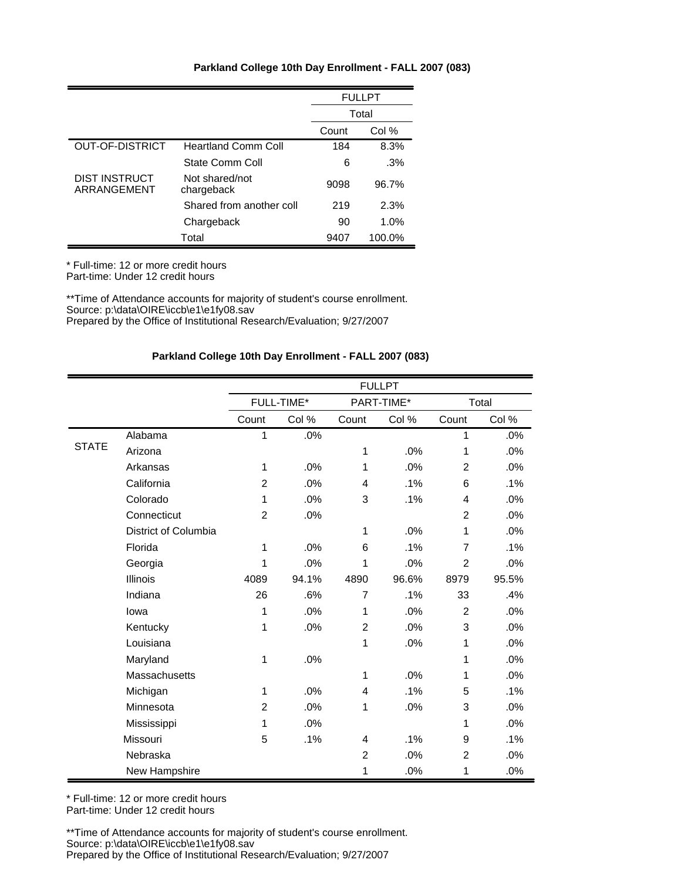|                                     |                              |       | <b>FULLPT</b> |
|-------------------------------------|------------------------------|-------|---------------|
|                                     |                              |       | Total         |
|                                     |                              | Count | Col %         |
| OUT-OF-DISTRICT                     | <b>Heartland Comm Coll</b>   | 184   | 8.3%          |
|                                     | State Comm Coll              | 6     | .3%           |
| <b>DIST INSTRUCT</b><br>ARRANGEMENT | Not shared/not<br>chargeback | 9098  | 96.7%         |
|                                     | Shared from another coll     | 219   | 2.3%          |
|                                     | Chargeback                   | 90    | 1.0%          |
|                                     | Total                        | 9407  | 100.0%        |

\* Full-time: 12 or more credit hours

Part-time: Under 12 credit hours

\*\*Time of Attendance accounts for majority of student's course enrollment. Source: p:\data\OIRE\iccb\e1\e1fy08.sav Prepared by the Office of Institutional Research/Evaluation; 9/27/2007

## **Parkland College 10th Day Enrollment - FALL 2007 (083)**

|              |                      |                |            |                | <b>FULLPT</b> |                |       |
|--------------|----------------------|----------------|------------|----------------|---------------|----------------|-------|
|              |                      |                | FULL-TIME* |                | PART-TIME*    |                | Total |
|              |                      | Count          | Col %      | Count          | Col %         | Count          | Col % |
|              | Alabama              | 1              | .0%        |                |               | 1              | .0%   |
| <b>STATE</b> | Arizona              |                |            | 1              | .0%           | 1              | .0%   |
|              | Arkansas             | 1              | .0%        | 1              | .0%           | $\overline{c}$ | .0%   |
|              | California           | $\overline{2}$ | .0%        | 4              | .1%           | 6              | .1%   |
|              | Colorado             | 1              | .0%        | 3              | .1%           | $\overline{4}$ | .0%   |
|              | Connecticut          | $\overline{2}$ | .0%        |                |               | $\overline{2}$ | .0%   |
|              | District of Columbia |                |            | 1              | .0%           | 1              | .0%   |
|              | Florida              | 1              | .0%        | 6              | .1%           | $\overline{7}$ | .1%   |
|              | Georgia              | 1              | .0%        | 1              | .0%           | $\overline{2}$ | .0%   |
|              | <b>Illinois</b>      | 4089           | 94.1%      | 4890           | 96.6%         | 8979           | 95.5% |
|              | Indiana              | 26             | .6%        | $\overline{7}$ | .1%           | 33             | .4%   |
|              | lowa                 | 1              | .0%        | 1              | .0%           | $\overline{c}$ | .0%   |
|              | Kentucky             | 1              | .0%        | $\overline{c}$ | .0%           | 3              | .0%   |
|              | Louisiana            |                |            | 1              | .0%           | 1              | .0%   |
|              | Maryland             | 1              | .0%        |                |               | 1              | .0%   |
|              | Massachusetts        |                |            | 1              | .0%           | 1              | .0%   |
|              | Michigan             | 1              | .0%        | 4              | .1%           | 5              | .1%   |
|              | Minnesota            | $\overline{2}$ | .0%        | 1              | .0%           | 3              | .0%   |
|              | Mississippi          | 1              | .0%        |                |               | 1              | .0%   |
|              | Missouri             | 5              | .1%        | $\overline{4}$ | .1%           | 9              | .1%   |
|              | Nebraska             |                |            | $\overline{2}$ | .0%           | $\overline{2}$ | .0%   |
|              | New Hampshire        |                |            | 1              | .0%           | 1              | .0%   |

\* Full-time: 12 or more credit hours Part-time: Under 12 credit hours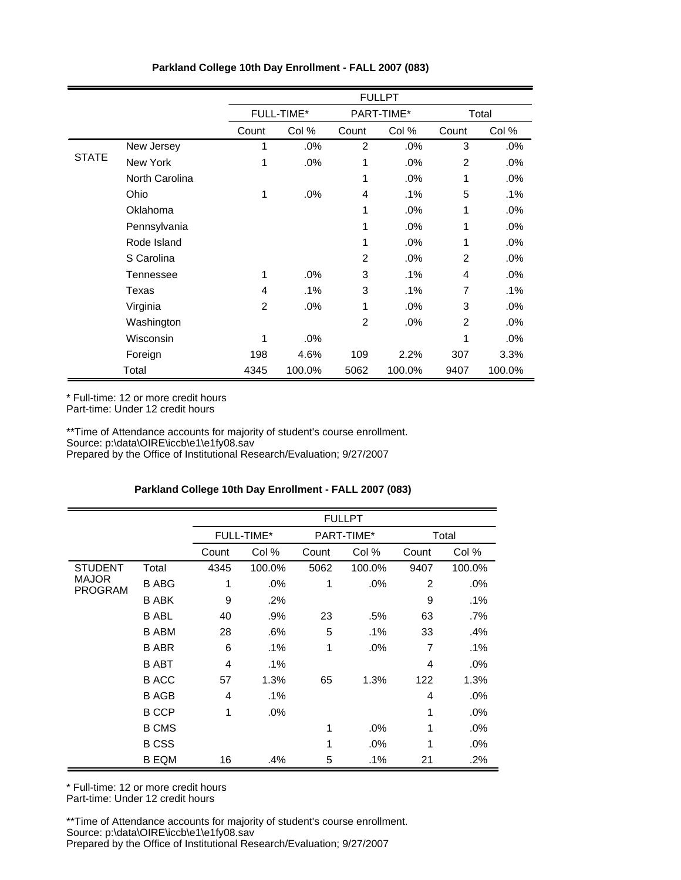|              |                | <b>FULLPT</b>  |                   |                |            |                |        |  |  |
|--------------|----------------|----------------|-------------------|----------------|------------|----------------|--------|--|--|
|              |                |                | <b>FULL-TIME*</b> |                | PART-TIME* |                | Total  |  |  |
|              |                | Count          | Col %             | Count          | Col %      | Count          | Col %  |  |  |
|              | New Jersey     | 1              | .0%               | $\overline{2}$ | .0%        | 3              | .0%    |  |  |
| <b>STATE</b> | New York       | 1              | .0%               | 1              | .0%        | $\overline{2}$ | .0%    |  |  |
|              | North Carolina |                |                   | 1              | .0%        | 1              | .0%    |  |  |
|              | Ohio           | 1              | .0%               | $\overline{4}$ | $.1\%$     | 5              | .1%    |  |  |
|              | Oklahoma       |                |                   | 1              | .0%        | 1              | .0%    |  |  |
|              | Pennsylvania   |                |                   | 1              | .0%        | 1              | .0%    |  |  |
|              | Rode Island    |                |                   | 1              | .0%        | 1              | .0%    |  |  |
|              | S Carolina     |                |                   | $\overline{2}$ | .0%        | $\overline{2}$ | .0%    |  |  |
|              | Tennessee      | 1              | .0%               | 3              | $.1\%$     | $\overline{4}$ | .0%    |  |  |
|              | Texas          | 4              | .1%               | 3              | .1%        | $\overline{7}$ | .1%    |  |  |
|              | Virginia       | $\overline{2}$ | .0%               | 1              | .0%        | 3              | .0%    |  |  |
|              | Washington     |                |                   | 2              | .0%        | 2              | .0%    |  |  |
|              | Wisconsin      | 1              | .0%               |                |            | 1              | .0%    |  |  |
|              | Foreign        | 198            | 4.6%              | 109            | 2.2%       | 307            | 3.3%   |  |  |
|              | Total          | 4345           | 100.0%            | 5062           | 100.0%     | 9407           | 100.0% |  |  |

\* Full-time: 12 or more credit hours

Part-time: Under 12 credit hours

\*\*Time of Attendance accounts for majority of student's course enrollment. Source: p:\data\OIRE\iccb\e1\e1fy08.sav

Prepared by the Office of Institutional Research/Evaluation; 9/27/2007

# **Parkland College 10th Day Enrollment - FALL 2007 (083)**

|                                                  |              |       |                   |              | <b>FULLPT</b> |                |        |
|--------------------------------------------------|--------------|-------|-------------------|--------------|---------------|----------------|--------|
|                                                  |              |       | <b>FULL-TIME*</b> |              | PART-TIME*    |                | Total  |
|                                                  |              | Count | Col %             | Count        | Col %         | Count          | Col %  |
| <b>STUDENT</b><br><b>MAJOR</b><br><b>PROGRAM</b> | Total        | 4345  | 100.0%            | 5062         | 100.0%        | 9407           | 100.0% |
|                                                  | <b>B ABG</b> | 1     | .0%               | 1            | .0%           | $\overline{2}$ | $.0\%$ |
|                                                  | <b>B ABK</b> | 9     | .2%               |              |               | 9              | $.1\%$ |
|                                                  | <b>B ABL</b> | 40    | .9%               | 23           | .5%           | 63             | .7%    |
|                                                  | <b>B ABM</b> | 28    | .6%               | 5            | $.1\%$        | 33             | .4%    |
|                                                  | <b>B ABR</b> | 6     | $.1\%$            | $\mathbf{1}$ | .0%           | 7              | .1%    |
|                                                  | <b>B ABT</b> | 4     | $.1\%$            |              |               | 4              | $.0\%$ |
|                                                  | <b>B</b> ACC | 57    | 1.3%              | 65           | 1.3%          | 122            | 1.3%   |
|                                                  | <b>B AGB</b> | 4     | .1%               |              |               | 4              | .0%    |
|                                                  | <b>B CCP</b> | 1     | .0%               |              |               | 1              | .0%    |
|                                                  | <b>B CMS</b> |       |                   | 1            | $.0\%$        | 1              | $.0\%$ |
|                                                  | <b>BCSS</b>  |       |                   | $\mathbf{1}$ | $.0\%$        | 1              | $.0\%$ |
|                                                  | <b>B EQM</b> | 16    | .4%               | 5            | .1%           | 21             | .2%    |

\* Full-time: 12 or more credit hours Part-time: Under 12 credit hours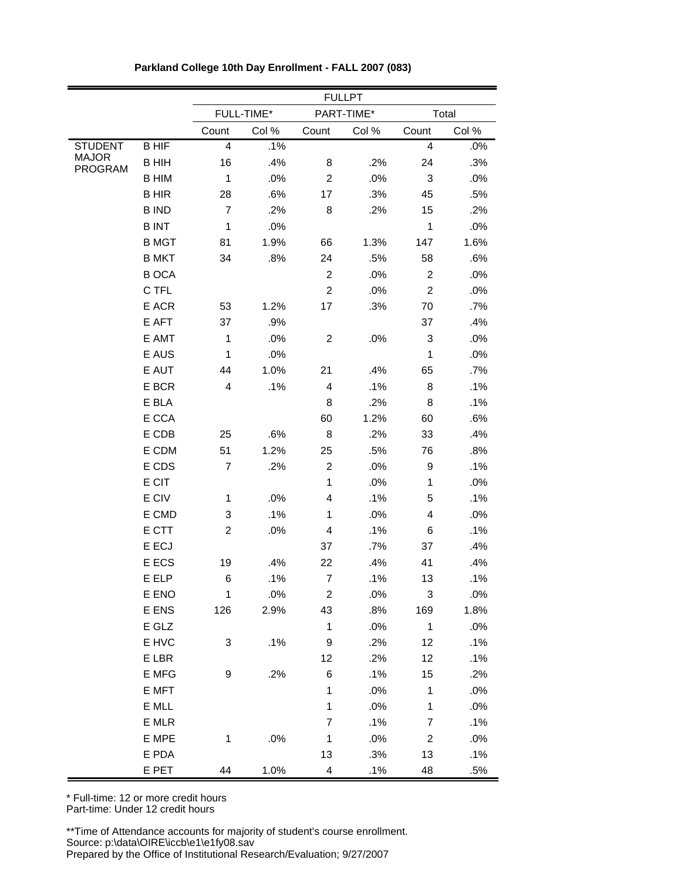|                                |              |                         |            |                          | <b>FULLPT</b> |                         |        |
|--------------------------------|--------------|-------------------------|------------|--------------------------|---------------|-------------------------|--------|
|                                |              |                         | FULL-TIME* |                          | PART-TIME*    |                         | Total  |
|                                |              | Count                   | Col %      | Count                    | Col %         | Count                   | Col %  |
| <b>STUDENT</b>                 | <b>BHIF</b>  | $\overline{\mathbf{4}}$ | .1%        |                          |               | $\overline{\mathbf{4}}$ | $.0\%$ |
| <b>MAJOR</b><br><b>PROGRAM</b> | <b>BHIH</b>  | 16                      | .4%        | 8                        | .2%           | 24                      | .3%    |
|                                | <b>B HIM</b> | $\mathbf{1}$            | .0%        | $\overline{c}$           | .0%           | 3                       | .0%    |
|                                | <b>BHIR</b>  | 28                      | .6%        | 17                       | .3%           | 45                      | .5%    |
|                                | <b>BIND</b>  | $\overline{7}$          | .2%        | 8                        | .2%           | 15                      | .2%    |
|                                | <b>BINT</b>  | $\mathbf{1}$            | .0%        |                          |               | 1                       | .0%    |
|                                | <b>B MGT</b> | 81                      | 1.9%       | 66                       | 1.3%          | 147                     | 1.6%   |
|                                | <b>B MKT</b> | 34                      | .8%        | 24                       | .5%           | 58                      | .6%    |
|                                | <b>BOCA</b>  |                         |            | $\overline{c}$           | .0%           | $\overline{2}$          | .0%    |
|                                | C TFL        |                         |            | $\boldsymbol{2}$         | .0%           | $\overline{c}$          | .0%    |
|                                | E ACR        | 53                      | 1.2%       | 17                       | .3%           | 70                      | .7%    |
|                                | E AFT        | 37                      | .9%        |                          |               | 37                      | .4%    |
|                                | E AMT        | $\mathbf{1}$            | .0%        | $\overline{c}$           | .0%           | 3                       | .0%    |
|                                | E AUS        | $\mathbf{1}$            | .0%        |                          |               | 1                       | .0%    |
|                                | E AUT        | 44                      | 1.0%       | 21                       | .4%           | 65                      | .7%    |
|                                | E BCR        | $\overline{\mathbf{4}}$ | .1%        | $\overline{\mathbf{4}}$  | .1%           | 8                       | .1%    |
|                                | E BLA        |                         |            | 8                        | .2%           | 8                       | .1%    |
|                                | E CCA        |                         |            | 60                       | 1.2%          | 60                      | .6%    |
|                                | E CDB        | 25                      | .6%        | 8                        | .2%           | 33                      | .4%    |
|                                | E CDM        | 51                      | 1.2%       | 25                       | .5%           | 76                      | .8%    |
|                                | E CDS        | $\overline{7}$          | .2%        | $\boldsymbol{2}$         | .0%           | 9                       | .1%    |
|                                | E CIT        |                         |            | $\mathbf{1}$             | .0%           | 1                       | .0%    |
|                                | E CIV        | 1                       | .0%        | 4                        | .1%           | 5                       | .1%    |
|                                | E CMD        | 3                       | .1%        | 1                        | .0%           | 4                       | .0%    |
|                                | E CTT        | $\overline{c}$          | .0%        | 4                        | .1%           | 6                       | .1%    |
|                                | E ECJ        |                         |            | 37                       | .7%           | 37                      | .4%    |
|                                | E ECS        | 19                      | .4%        | 22                       | .4%           | 41                      | .4%    |
|                                | E ELP        | 6                       | .1%        | $\overline{7}$           | .1%           | $13$                    | .1%    |
|                                | E ENO        | $\mathbf 1$             | .0%        | $\boldsymbol{2}$         | .0%           | $\mathbf{3}$            | .0%    |
|                                | E ENS        | 126                     | 2.9%       | 43                       | .8%           | 169                     | 1.8%   |
|                                | E GLZ        |                         |            | $\mathbf{1}$             | $.0\%$        | $\overline{1}$          | .0%    |
|                                | E HVC        | 3                       | .1%        | 9                        | .2%           | 12                      | .1%    |
|                                | E LBR        |                         |            | 12                       | .2%           | 12                      | .1%    |
|                                | E MFG        | 9                       | .2%        | $\,6$                    | .1%           | 15                      | .2%    |
|                                | E MFT        |                         |            | $\mathbf{1}$             | .0%           | $\mathbf{1}$            | .0%    |
|                                | E MLL        |                         |            | $\mathbf{1}$             | $.0\%$        | $\mathbf{1}$            | .0%    |
|                                | E MLR        |                         |            | $\overline{7}$           | .1%           | $\overline{7}$          | .1%    |
|                                | E MPE        | 1                       | .0%        | $\mathbf{1}$             | .0%           | $\overline{2}$          | .0%    |
|                                | E PDA        |                         |            | 13                       | .3%           | 13                      | .1%    |
|                                | E PET        | 44                      | 1.0%       | $\overline{\mathcal{L}}$ | .1%           | 48                      | .5%    |

|  | Parkland College 10th Day Enrollment - FALL 2007 (083) |  |
|--|--------------------------------------------------------|--|
|  |                                                        |  |

\* Full-time: 12 or more credit hours Part-time: Under 12 credit hours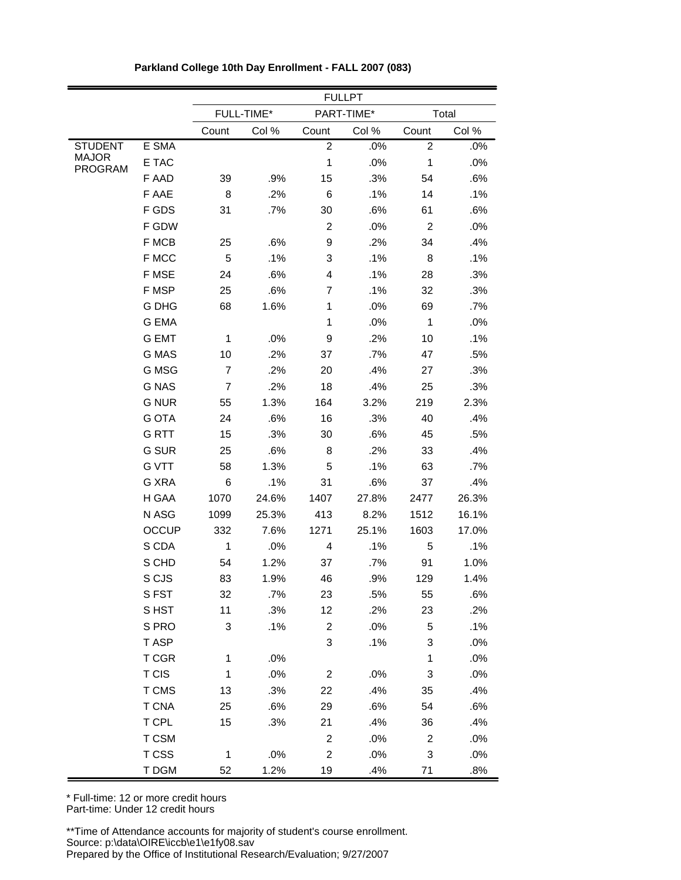|                                |              |                | <b>FULLPT</b> |                |            |                |        |  |  |  |
|--------------------------------|--------------|----------------|---------------|----------------|------------|----------------|--------|--|--|--|
|                                |              |                | FULL-TIME*    |                | PART-TIME* |                | Total  |  |  |  |
|                                |              | Count          | Col %         | Count          | Col %      | Count          | Col %  |  |  |  |
| <b>STUDENT</b>                 | E SMA        |                |               | $\overline{2}$ | .0%        | $\overline{c}$ | .0%    |  |  |  |
| <b>MAJOR</b><br><b>PROGRAM</b> | E TAC        |                |               | $\mathbf 1$    | .0%        | $\mathbf{1}$   | .0%    |  |  |  |
|                                | F AAD        | 39             | .9%           | 15             | .3%        | 54             | .6%    |  |  |  |
|                                | F AAE        | 8              | .2%           | 6              | .1%        | 14             | .1%    |  |  |  |
|                                | F GDS        | 31             | .7%           | 30             | .6%        | 61             | .6%    |  |  |  |
|                                | F GDW        |                |               | 2              | .0%        | $\overline{c}$ | .0%    |  |  |  |
|                                | F MCB        | 25             | .6%           | 9              | .2%        | 34             | .4%    |  |  |  |
|                                | F MCC        | 5              | .1%           | 3              | .1%        | 8              | .1%    |  |  |  |
|                                | F MSE        | 24             | .6%           | 4              | .1%        | 28             | .3%    |  |  |  |
|                                | F MSP        | 25             | .6%           | 7              | .1%        | 32             | .3%    |  |  |  |
|                                | G DHG        | 68             | 1.6%          | 1              | .0%        | 69             | .7%    |  |  |  |
|                                | <b>G EMA</b> |                |               | $\mathbf{1}$   | .0%        | $\mathbf{1}$   | .0%    |  |  |  |
|                                | <b>G EMT</b> | $\mathbf 1$    | .0%           | 9              | .2%        | 10             | .1%    |  |  |  |
|                                | <b>G MAS</b> | 10             | .2%           | 37             | .7%        | 47             | .5%    |  |  |  |
|                                | G MSG        | $\overline{7}$ | .2%           | 20             | .4%        | 27             | .3%    |  |  |  |
|                                | <b>G NAS</b> | $\overline{7}$ | .2%           | 18             | .4%        | 25             | .3%    |  |  |  |
|                                | <b>G NUR</b> | 55             | 1.3%          | 164            | 3.2%       | 219            | 2.3%   |  |  |  |
|                                | <b>G OTA</b> | 24             | .6%           | 16             | .3%        | 40             | .4%    |  |  |  |
|                                | G RTT        | 15             | .3%           | 30             | .6%        | 45             | .5%    |  |  |  |
|                                | <b>G SUR</b> | 25             | .6%           | 8              | .2%        | 33             | .4%    |  |  |  |
|                                | <b>G VTT</b> | 58             | 1.3%          | 5              | .1%        | 63             | .7%    |  |  |  |
|                                | G XRA        | 6              | .1%           | 31             | .6%        | 37             | .4%    |  |  |  |
|                                | H GAA        | 1070           | 24.6%         | 1407           | 27.8%      | 2477           | 26.3%  |  |  |  |
|                                | N ASG        | 1099           | 25.3%         | 413            | 8.2%       | 1512           | 16.1%  |  |  |  |
|                                | <b>OCCUP</b> | 332            | 7.6%          | 1271           | 25.1%      | 1603           | 17.0%  |  |  |  |
|                                | S CDA        | 1              | .0%           | 4              | .1%        | 5              | .1%    |  |  |  |
|                                | S CHD        | 54             | 1.2%          | 37             | .7%        | 91             | 1.0%   |  |  |  |
|                                | S CJS        | 83             | 1.9%          | 46             | .9%        | 129            | 1.4%   |  |  |  |
|                                | SFST         | 32             | .7%           | 23             | .5%        | 55             | .6%    |  |  |  |
|                                | S HST        | 11             | .3%           | 12             | .2%        | 23             | .2%    |  |  |  |
|                                | S PRO        | 3              | .1%           | $\overline{2}$ | .0%        | 5              | .1%    |  |  |  |
|                                | T ASP        |                |               | 3              | .1%        | 3              | .0%    |  |  |  |
|                                | T CGR        | $\mathbf 1$    | .0%           |                |            | $\mathbf{1}$   | $.0\%$ |  |  |  |
|                                | T CIS        | $\mathbf 1$    | .0%           | $\overline{2}$ | .0%        | 3              | .0%    |  |  |  |
|                                | T CMS        | 13             | .3%           | 22             | .4%        | 35             | .4%    |  |  |  |
|                                | <b>T CNA</b> | 25             | .6%           | 29             | .6%        | 54             | .6%    |  |  |  |
|                                | T CPL        | 15             | .3%           | 21             | .4%        | 36             | .4%    |  |  |  |
|                                | T CSM        |                |               | $\overline{2}$ | .0%        | 2              | $.0\%$ |  |  |  |
|                                | T CSS        | $\mathbf{1}$   | .0%           | $\overline{2}$ | .0%        | 3              | .0%    |  |  |  |
|                                | T DGM        | 52             | 1.2%          | 19             | .4%        | 71             | .8%    |  |  |  |

\* Full-time: 12 or more credit hours Part-time: Under 12 credit hours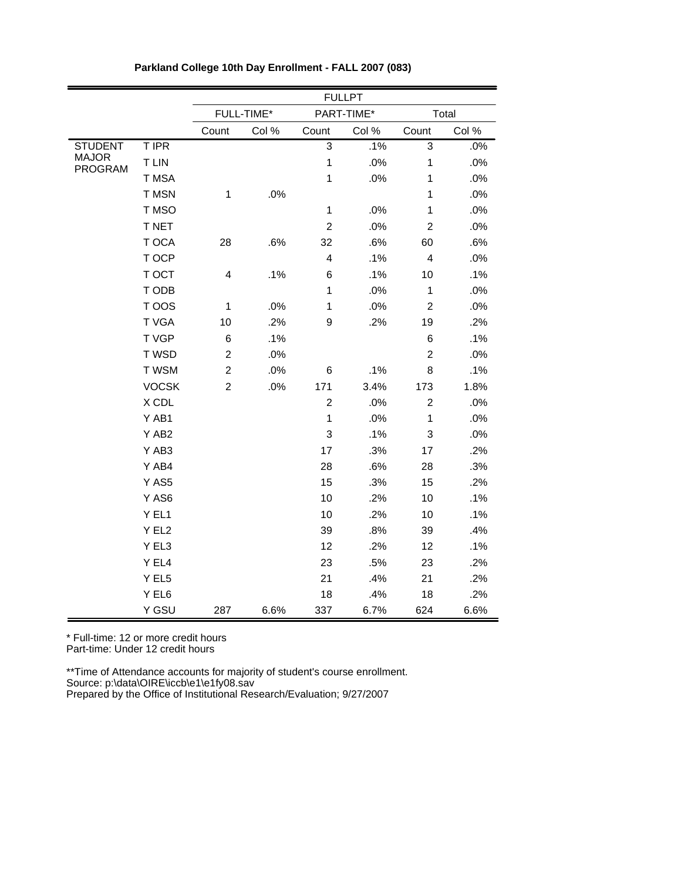|                                |              |                         |            |                | <b>FULLPT</b> |                |       |
|--------------------------------|--------------|-------------------------|------------|----------------|---------------|----------------|-------|
|                                |              |                         | FULL-TIME* |                | PART-TIME*    |                | Total |
|                                |              | Count                   | Col %      | Count          | Col %         | Count          | Col % |
| <b>STUDENT</b>                 | T IPR        |                         |            | 3              | .1%           | 3              | .0%   |
| <b>MAJOR</b><br><b>PROGRAM</b> | <b>TLIN</b>  |                         |            | $\overline{1}$ | .0%           | $\mathbf 1$    | .0%   |
|                                | T MSA        |                         |            | $\mathbf{1}$   | .0%           | $\mathbf{1}$   | .0%   |
|                                | T MSN        | $\mathbf{1}$            | .0%        |                |               | $\mathbf{1}$   | .0%   |
|                                | T MSO        |                         |            | $\mathbf{1}$   | .0%           | $\mathbf{1}$   | .0%   |
|                                | T NET        |                         |            | $\overline{c}$ | .0%           | $\overline{c}$ | .0%   |
|                                | T OCA        | 28                      | .6%        | 32             | .6%           | 60             | .6%   |
|                                | T OCP        |                         |            | 4              | .1%           | 4              | .0%   |
|                                | T OCT        | $\overline{\mathbf{4}}$ | .1%        | 6              | .1%           | 10             | .1%   |
|                                | T ODB        |                         |            | $\mathbf{1}$   | .0%           | $\mathbf{1}$   | .0%   |
|                                | T OOS        | $\mathbf{1}$            | .0%        | $\mathbf{1}$   | .0%           | $\overline{c}$ | .0%   |
|                                | T VGA        | 10                      | .2%        | $\mathsf g$    | .2%           | 19             | .2%   |
|                                | T VGP        | 6                       | .1%        |                |               | 6              | .1%   |
|                                | T WSD        | $\overline{c}$          | .0%        |                |               | $\overline{2}$ | .0%   |
|                                | T WSM        | $\overline{c}$          | .0%        | 6              | .1%           | 8              | .1%   |
|                                | <b>VOCSK</b> | $\overline{c}$          | .0%        | 171            | 3.4%          | 173            | 1.8%  |
|                                | X CDL        |                         |            | $\overline{2}$ | .0%           | $\overline{2}$ | .0%   |
|                                | Y AB1        |                         |            | $\mathbf{1}$   | .0%           | $\mathbf{1}$   | .0%   |
|                                | Y AB2        |                         |            | 3              | .1%           | 3              | .0%   |
|                                | Y AB3        |                         |            | 17             | .3%           | 17             | .2%   |
|                                | Y AB4        |                         |            | 28             | .6%           | 28             | .3%   |
|                                | Y AS5        |                         |            | 15             | .3%           | 15             | .2%   |
|                                | Y AS6        |                         |            | 10             | .2%           | 10             | .1%   |
|                                | Y EL1        |                         |            | 10             | .2%           | 10             | .1%   |
|                                | Y EL2        |                         |            | 39             | .8%           | 39             | .4%   |
|                                | Y EL3        |                         |            | 12             | .2%           | 12             | .1%   |
|                                | Y EL4        |                         |            | 23             | .5%           | 23             | .2%   |
|                                | Y EL5        |                         |            | 21             | .4%           | 21             | .2%   |
|                                | Y EL6        |                         |            | 18             | .4%           | 18             | .2%   |
|                                | Y GSU        | 287                     | 6.6%       | 337            | 6.7%          | 624            | 6.6%  |

\* Full-time: 12 or more credit hours Part-time: Under 12 credit hours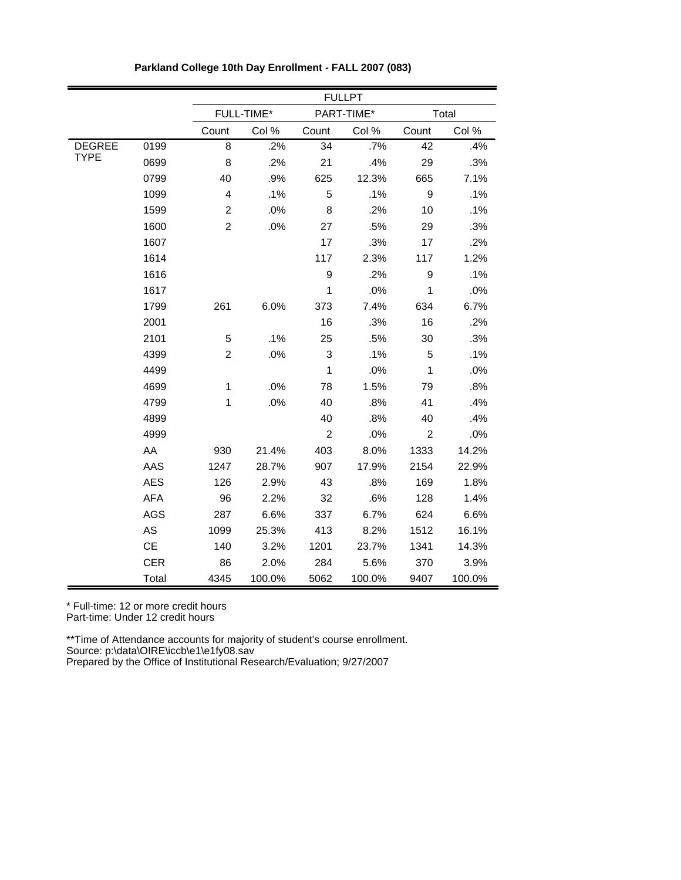|               |            |                         |            |                | <b>FULLPT</b> |                |        |
|---------------|------------|-------------------------|------------|----------------|---------------|----------------|--------|
|               |            |                         | FULL-TIME* |                | PART-TIME*    |                | Total  |
|               |            | Count                   | Col %      | Count          | Col %         | Count          | Col %  |
| <b>DEGREE</b> | 0199       | 8                       | .2%        | 34             | .7%           | 42             | .4%    |
| <b>TYPE</b>   | 0699       | 8                       | .2%        | 21             | .4%           | 29             | .3%    |
|               | 0799       | 40                      | .9%        | 625            | 12.3%         | 665            | 7.1%   |
|               | 1099       | $\overline{\mathbf{4}}$ | .1%        | 5              | .1%           | 9              | .1%    |
|               | 1599       | $\overline{c}$          | .0%        | 8              | .2%           | 10             | .1%    |
|               | 1600       | $\overline{c}$          | .0%        | 27             | .5%           | 29             | .3%    |
|               | 1607       |                         |            | 17             | .3%           | 17             | .2%    |
|               | 1614       |                         |            | 117            | 2.3%          | 117            | 1.2%   |
|               | 1616       |                         |            | 9              | .2%           | 9              | .1%    |
|               | 1617       |                         |            | $\mathbf{1}$   | .0%           | $\mathbf{1}$   | .0%    |
|               | 1799       | 261                     | 6.0%       | 373            | 7.4%          | 634            | 6.7%   |
|               | 2001       |                         |            | 16             | .3%           | 16             | .2%    |
|               | 2101       | 5                       | .1%        | 25             | .5%           | 30             | .3%    |
|               | 4399       | $\overline{2}$          | .0%        | 3              | .1%           | 5              | .1%    |
|               | 4499       |                         |            | $\mathbf{1}$   | .0%           | $\mathbf{1}$   | .0%    |
|               | 4699       | $\mathbf 1$             | .0%        | 78             | 1.5%          | 79             | .8%    |
|               | 4799       | $\mathbf 1$             | .0%        | 40             | .8%           | 41             | .4%    |
|               | 4899       |                         |            | 40             | .8%           | 40             | .4%    |
|               | 4999       |                         |            | $\overline{c}$ | .0%           | $\overline{c}$ | .0%    |
|               | AA         | 930                     | 21.4%      | 403            | 8.0%          | 1333           | 14.2%  |
|               | AAS        | 1247                    | 28.7%      | 907            | 17.9%         | 2154           | 22.9%  |
|               | <b>AES</b> | 126                     | 2.9%       | 43             | .8%           | 169            | 1.8%   |
|               | <b>AFA</b> | 96                      | 2.2%       | 32             | .6%           | 128            | 1.4%   |
|               | <b>AGS</b> | 287                     | 6.6%       | 337            | 6.7%          | 624            | 6.6%   |
|               | AS         | 1099                    | 25.3%      | 413            | 8.2%          | 1512           | 16.1%  |
|               | CE         | 140                     | 3.2%       | 1201           | 23.7%         | 1341           | 14.3%  |
|               | <b>CER</b> | 86                      | 2.0%       | 284            | 5.6%          | 370            | 3.9%   |
|               | Total      | 4345                    | 100.0%     | 5062           | 100.0%        | 9407           | 100.0% |

**Parkland College 10th Day Enrollment - FALL 2007 (083)**

Part-time: Under 12 credit hours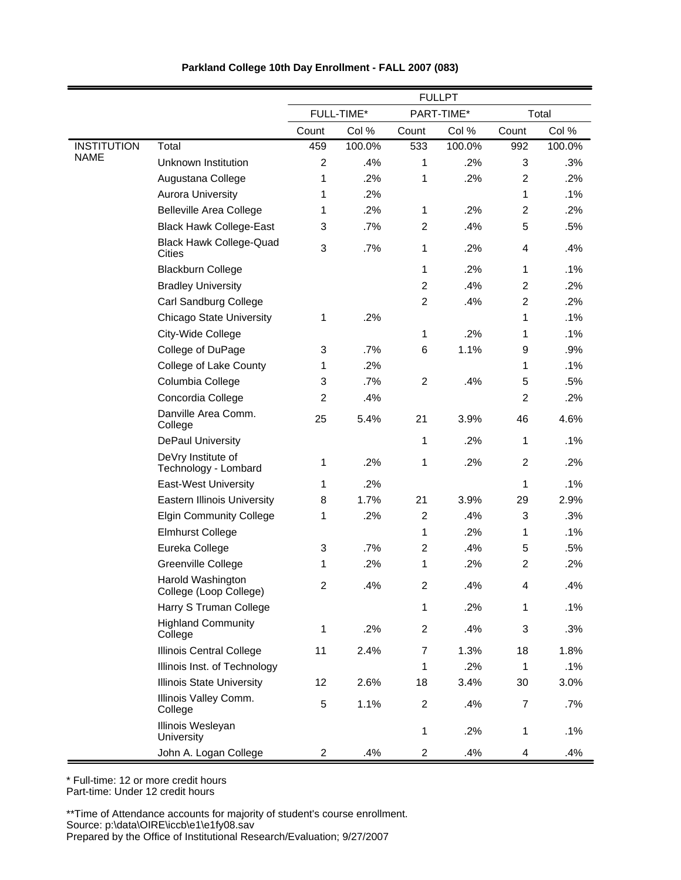|                    |                                                 | <b>FULLPT</b>  |            |                |            |                |        |
|--------------------|-------------------------------------------------|----------------|------------|----------------|------------|----------------|--------|
|                    |                                                 |                | FULL-TIME* |                | PART-TIME* |                | Total  |
|                    |                                                 | Count          | Col %      | Count          | Col %      | Count          | Col %  |
| <b>INSTITUTION</b> | Total                                           | 459            | 100.0%     | 533            | 100.0%     | 992            | 100.0% |
| <b>NAME</b>        | Unknown Institution                             | $\overline{c}$ | .4%        | 1              | .2%        | 3              | .3%    |
|                    | Augustana College                               | 1              | .2%        | 1              | .2%        | $\overline{c}$ | .2%    |
|                    | <b>Aurora University</b>                        | 1              | .2%        |                |            | 1              | .1%    |
|                    | <b>Belleville Area College</b>                  | 1              | .2%        | $\mathbf{1}$   | .2%        | $\overline{2}$ | .2%    |
|                    | <b>Black Hawk College-East</b>                  | 3              | .7%        | $\overline{c}$ | .4%        | 5              | .5%    |
|                    | <b>Black Hawk College-Quad</b><br><b>Cities</b> | 3              | .7%        | 1              | .2%        | 4              | .4%    |
|                    | <b>Blackburn College</b>                        |                |            | 1              | .2%        | 1              | .1%    |
|                    | <b>Bradley University</b>                       |                |            | $\overline{2}$ | .4%        | $\overline{2}$ | .2%    |
|                    | Carl Sandburg College                           |                |            | $\overline{2}$ | .4%        | $\overline{2}$ | .2%    |
|                    | <b>Chicago State University</b>                 | 1              | .2%        |                |            | 1              | .1%    |
|                    | City-Wide College                               |                |            | 1              | .2%        | 1              | .1%    |
|                    | College of DuPage                               | 3              | .7%        | 6              | 1.1%       | 9              | .9%    |
|                    | College of Lake County                          | 1              | .2%        |                |            | 1              | .1%    |
|                    | Columbia College                                | 3              | .7%        | $\overline{c}$ | .4%        | 5              | .5%    |
|                    | Concordia College                               | $\overline{c}$ | .4%        |                |            | $\overline{2}$ | .2%    |
|                    | Danville Area Comm.<br>College                  | 25             | 5.4%       | 21             | 3.9%       | 46             | 4.6%   |
|                    | <b>DePaul University</b>                        |                |            | 1              | .2%        | 1              | .1%    |
|                    | DeVry Institute of<br>Technology - Lombard      | 1              | .2%        | 1              | .2%        | $\overline{2}$ | .2%    |
|                    | <b>East-West University</b>                     | 1              | .2%        |                |            | 1              | .1%    |
|                    | <b>Eastern Illinois University</b>              | 8              | 1.7%       | 21             | 3.9%       | 29             | 2.9%   |
|                    | <b>Elgin Community College</b>                  | 1              | .2%        | $\overline{c}$ | .4%        | 3              | .3%    |
|                    | <b>Elmhurst College</b>                         |                |            | 1              | .2%        | 1              | .1%    |
|                    | Eureka College                                  | 3              | .7%        | $\overline{2}$ | .4%        | 5              | .5%    |
|                    | Greenville College                              | 1              | .2%        | 1              | .2%        | $\overline{2}$ | .2%    |
|                    | Harold Washington<br>College (Loop College)     | 2              | .4%        | 2              | .4%        | 4              | .4%    |
|                    | Harry S Truman College                          |                |            | 1              | .2%        | 1              | .1%    |
|                    | <b>Highland Community</b><br>College            | 1              | .2%        | $\overline{c}$ | .4%        | 3              | .3%    |
|                    | Illinois Central College                        | 11             | 2.4%       | 7              | 1.3%       | 18             | 1.8%   |
|                    | Illinois Inst. of Technology                    |                |            | 1              | .2%        | $\mathbf 1$    | .1%    |
|                    | <b>Illinois State University</b>                | 12             | 2.6%       | 18             | 3.4%       | 30             | 3.0%   |
|                    | Illinois Valley Comm.<br>College                | 5              | 1.1%       | $\overline{c}$ | .4%        | $\overline{7}$ | .7%    |
|                    | Illinois Wesleyan<br>University                 |                |            | 1              | .2%        | 1              | .1%    |
|                    | John A. Logan College                           | $\overline{c}$ | .4%        | $\overline{a}$ | .4%        | 4              | .4%    |

\* Full-time: 12 or more credit hours Part-time: Under 12 credit hours

\*\*Time of Attendance accounts for majority of student's course enrollment. Source: p:\data\OIRE\iccb\e1\e1fy08.sav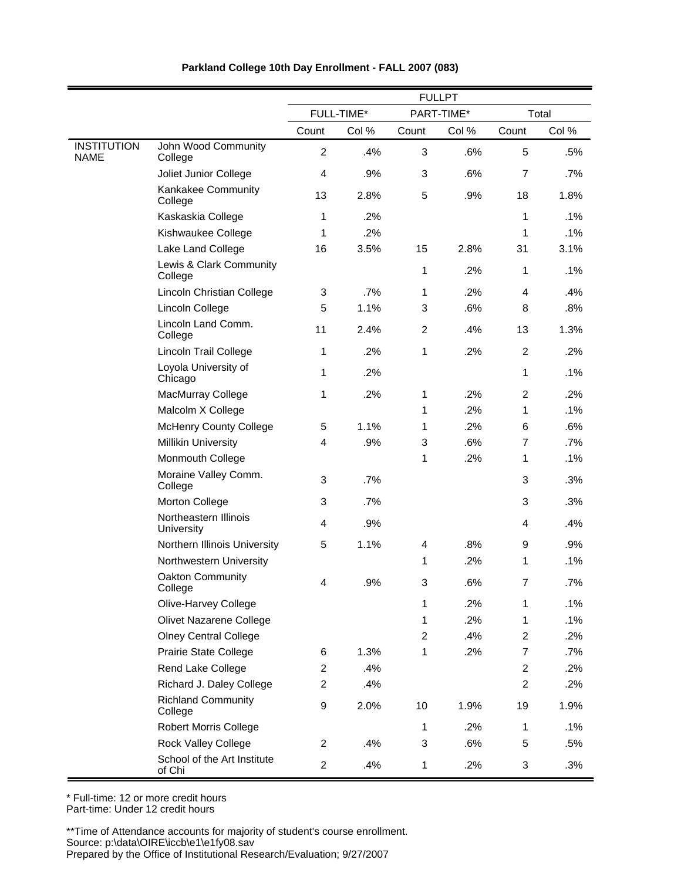|                                   |                                       | <b>FULLPT</b>    |            |                |            |                |       |  |
|-----------------------------------|---------------------------------------|------------------|------------|----------------|------------|----------------|-------|--|
|                                   |                                       |                  | FULL-TIME* |                | PART-TIME* |                | Total |  |
|                                   |                                       | Count            | Col %      | Count          | Col %      | Count          | Col % |  |
| <b>INSTITUTION</b><br><b>NAME</b> | John Wood Community<br>College        | $\overline{2}$   | .4%        | 3              | .6%        | 5              | .5%   |  |
|                                   | Joliet Junior College                 | $\overline{4}$   | .9%        | 3              | .6%        | $\overline{7}$ | .7%   |  |
|                                   | Kankakee Community<br>College         | 13               | 2.8%       | 5              | .9%        | 18             | 1.8%  |  |
|                                   | Kaskaskia College                     | 1                | .2%        |                |            | 1              | .1%   |  |
|                                   | Kishwaukee College                    | 1                | .2%        |                |            | 1              | .1%   |  |
|                                   | Lake Land College                     | 16               | 3.5%       | 15             | 2.8%       | 31             | 3.1%  |  |
|                                   | Lewis & Clark Community<br>College    |                  |            | 1              | .2%        | 1              | .1%   |  |
|                                   | Lincoln Christian College             | 3                | .7%        | 1              | .2%        | 4              | .4%   |  |
|                                   | Lincoln College                       | 5                | 1.1%       | 3              | .6%        | 8              | .8%   |  |
|                                   | Lincoln Land Comm.<br>College         | 11               | 2.4%       | $\overline{c}$ | .4%        | 13             | 1.3%  |  |
|                                   | <b>Lincoln Trail College</b>          | 1                | .2%        | 1              | .2%        | $\overline{2}$ | .2%   |  |
|                                   | Loyola University of<br>Chicago       | 1                | .2%        |                |            | 1              | .1%   |  |
|                                   | MacMurray College                     | 1                | .2%        | 1              | .2%        | $\overline{2}$ | .2%   |  |
|                                   | Malcolm X College                     |                  |            | 1              | .2%        | 1              | .1%   |  |
|                                   | <b>McHenry County College</b>         | 5                | 1.1%       | 1              | .2%        | 6              | .6%   |  |
|                                   | <b>Millikin University</b>            | 4                | .9%        | 3              | .6%        | $\overline{7}$ | .7%   |  |
|                                   | Monmouth College                      |                  |            | 1              | .2%        | 1              | .1%   |  |
|                                   | Moraine Valley Comm.<br>College       | 3                | .7%        |                |            | 3              | .3%   |  |
|                                   | Morton College                        | 3                | .7%        |                |            | 3              | .3%   |  |
|                                   | Northeastern Illinois<br>University   | $\overline{4}$   | .9%        |                |            | 4              | .4%   |  |
|                                   | Northern Illinois University          | 5                | 1.1%       | 4              | .8%        | 9              | .9%   |  |
|                                   | Northwestern University               |                  |            | 1              | .2%        | 1              | .1%   |  |
|                                   | Oakton Community<br>College           | 4                | .9%        | 3              | .6%        | 7              | .7%   |  |
|                                   | Olive-Harvey College                  |                  |            | 1              | .2%        | 1              | .1%   |  |
|                                   | Olivet Nazarene College               |                  |            | 1              | .2%        | 1              | .1%   |  |
|                                   | <b>Olney Central College</b>          |                  |            | $\overline{2}$ | .4%        | $\overline{2}$ | .2%   |  |
|                                   | Prairie State College                 | 6                | 1.3%       | 1              | .2%        | $\overline{7}$ | .7%   |  |
|                                   | Rend Lake College                     | $\overline{2}$   | .4%        |                |            | $\overline{2}$ | .2%   |  |
|                                   | Richard J. Daley College              | $\overline{2}$   | .4%        |                |            | $\overline{2}$ | .2%   |  |
|                                   | <b>Richland Community</b><br>College  | $\boldsymbol{9}$ | 2.0%       | 10             | 1.9%       | 19             | 1.9%  |  |
|                                   | <b>Robert Morris College</b>          |                  |            | 1              | .2%        | 1              | .1%   |  |
|                                   | <b>Rock Valley College</b>            | $\overline{2}$   | .4%        | 3              | .6%        | 5              | .5%   |  |
|                                   | School of the Art Institute<br>of Chi | $\overline{2}$   | .4%        | 1              | .2%        | 3              | .3%   |  |

\* Full-time: 12 or more credit hours

Part-time: Under 12 credit hours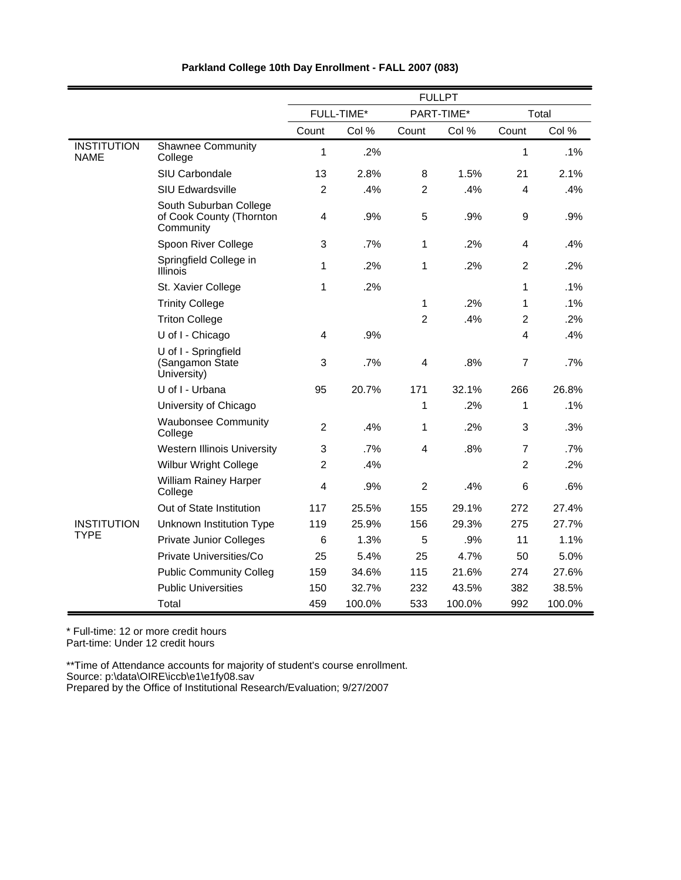|                                   |                                                                 |                |            |                | <b>FULLPT</b> |                |        |
|-----------------------------------|-----------------------------------------------------------------|----------------|------------|----------------|---------------|----------------|--------|
|                                   |                                                                 |                | FULL-TIME* |                | PART-TIME*    |                | Total  |
|                                   |                                                                 | Count          | Col %      | Count          | Col %         | Count          | Col %  |
| <b>INSTITUTION</b><br><b>NAME</b> | <b>Shawnee Community</b><br>College                             | 1              | .2%        |                |               | 1              | .1%    |
|                                   | SIU Carbondale                                                  | 13             | 2.8%       | 8              | 1.5%          | 21             | 2.1%   |
|                                   | <b>SIU Edwardsville</b>                                         | $\overline{c}$ | .4%        | $\overline{c}$ | .4%           | 4              | .4%    |
|                                   | South Suburban College<br>of Cook County (Thornton<br>Community | 4              | .9%        | 5              | .9%           | 9              | .9%    |
|                                   | Spoon River College                                             | 3              | .7%        | 1              | .2%           | $\overline{4}$ | .4%    |
|                                   | Springfield College in<br><b>Illinois</b>                       | 1              | .2%        | 1              | .2%           | $\overline{2}$ | .2%    |
|                                   | St. Xavier College                                              | 1              | .2%        |                |               | 1              | .1%    |
|                                   | <b>Trinity College</b>                                          |                |            | 1              | .2%           | 1              | .1%    |
|                                   | <b>Triton College</b>                                           |                |            | $\overline{2}$ | .4%           | $\overline{2}$ | .2%    |
|                                   | U of I - Chicago                                                | 4              | .9%        |                |               | 4              | .4%    |
|                                   | U of I - Springfield<br>(Sangamon State<br>University)          | 3              | .7%        | 4              | .8%           | $\overline{7}$ | .7%    |
|                                   | U of I - Urbana                                                 | 95             | 20.7%      | 171            | 32.1%         | 266            | 26.8%  |
|                                   | University of Chicago                                           |                |            | 1              | .2%           | 1              | .1%    |
|                                   | <b>Waubonsee Community</b><br>College                           | $\overline{2}$ | .4%        | 1              | .2%           | 3              | .3%    |
|                                   | <b>Western Illinois University</b>                              | 3              | .7%        | 4              | .8%           | $\overline{7}$ | .7%    |
|                                   | <b>Wilbur Wright College</b>                                    | $\overline{c}$ | .4%        |                |               | $\overline{2}$ | .2%    |
|                                   | <b>William Rainey Harper</b><br>College                         | 4              | .9%        | $\overline{2}$ | .4%           | 6              | .6%    |
|                                   | Out of State Institution                                        | 117            | 25.5%      | 155            | 29.1%         | 272            | 27.4%  |
| <b>INSTITUTION</b>                | Unknown Institution Type                                        | 119            | 25.9%      | 156            | 29.3%         | 275            | 27.7%  |
| <b>TYPE</b>                       | <b>Private Junior Colleges</b>                                  | 6              | 1.3%       | 5              | .9%           | 11             | 1.1%   |
|                                   | Private Universities/Co                                         | 25             | 5.4%       | 25             | 4.7%          | 50             | 5.0%   |
|                                   | <b>Public Community Colleg</b>                                  | 159            | 34.6%      | 115            | 21.6%         | 274            | 27.6%  |
|                                   | <b>Public Universities</b>                                      | 150            | 32.7%      | 232            | 43.5%         | 382            | 38.5%  |
|                                   | Total                                                           | 459            | 100.0%     | 533            | 100.0%        | 992            | 100.0% |

\* Full-time: 12 or more credit hours

Part-time: Under 12 credit hours

\*\*Time of Attendance accounts for majority of student's course enrollment.

Source: p:\data\OIRE\iccb\e1\e1fy08.sav